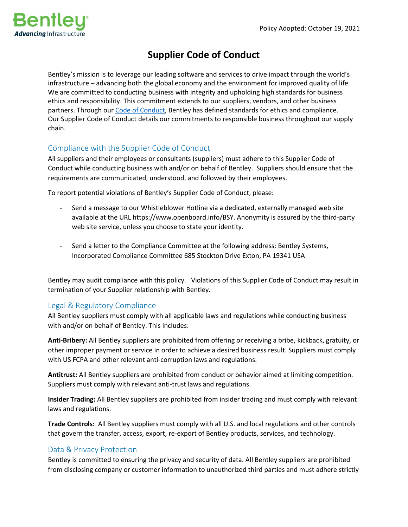

# **Supplier Code of Conduct**

Bentley's mission is to leverage our leading software and services to drive impact through the world's infrastructure – advancing both the global economy and the environment for improved quality of life. We are committed to conducting business with integrity and upholding high standards for business ethics and responsibility. This commitment extends to our suppliers, vendors, and other business partners. Through our [Code of Conduct,](https://investors.bentley.com/static-files/dbe703f4-02ea-43e4-bfe2-a3abae52c70c) Bentley has defined standards for ethics and compliance. Our Supplier Code of Conduct details our commitments to responsible business throughout our supply chain.

## Compliance with the Supplier Code of Conduct

All suppliers and their employees or consultants (suppliers) must adhere to this Supplier Code of Conduct while conducting business with and/or on behalf of Bentley. Suppliers should ensure that the requirements are communicated, understood, and followed by their employees.

To report potential violations of Bentley's Supplier Code of Conduct, please:

- Send a message to our Whistleblower Hotline via a dedicated, externally managed web site available at the URL https://www.openboard.info/BSY. Anonymity is assured by the third-party web site service, unless you choose to state your identity.
- Send a letter to the Compliance Committee at the following address: Bentley Systems, Incorporated Compliance Committee 685 Stockton Drive Exton, PA 19341 USA

Bentley may audit compliance with this policy. Violations of this Supplier Code of Conduct may result in termination of your Supplier relationship with Bentley.

## Legal & Regulatory Compliance

All Bentley suppliers must comply with all applicable laws and regulations while conducting business with and/or on behalf of Bentley. This includes:

**Anti-Bribery:** All Bentley suppliers are prohibited from offering or receiving a bribe, kickback, gratuity, or other improper payment or service in order to achieve a desired business result. Suppliers must comply with US FCPA and other relevant anti-corruption laws and regulations.

**Antitrust:** All Bentley suppliers are prohibited from conduct or behavior aimed at limiting competition. Suppliers must comply with relevant anti-trust laws and regulations.

**Insider Trading:** All Bentley suppliers are prohibited from insider trading and must comply with relevant laws and regulations.

**Trade Controls:** All Bentley suppliers must comply with all U.S. and local regulations and other controls that govern the transfer, access, export, re-export of Bentley products, services, and technology.

## Data & Privacy Protection

Bentley is committed to ensuring the privacy and security of data. All Bentley suppliers are prohibited from disclosing company or customer information to unauthorized third parties and must adhere strictly